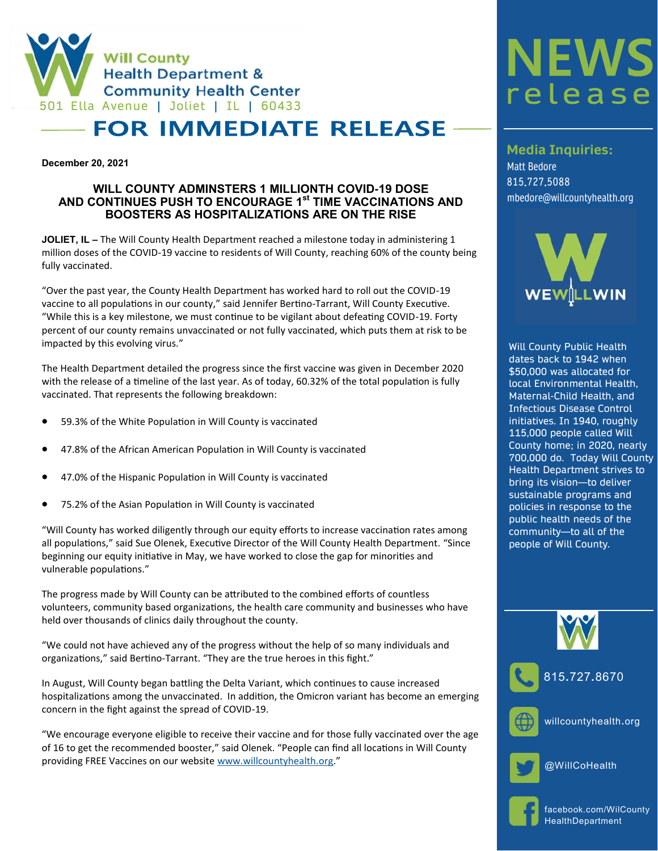

## **FOR IMMEDIATE RELEASE**

**December 20, 2021**

## **WILL COUNTY ADMINSTERS 1 MILLIONTH COVID-19 DOSE AND CONTINUES PUSH TO ENCOURAGE 1st TIME VACCINATIONS AND BOOSTERS AS HOSPITALIZATIONS ARE ON THE RISE**

**JOLIET, IL –** The Will County Health Department reached a milestone today in administering 1 million doses of the COVID-19 vaccine to residents of Will County, reaching 60% of the county being fully vaccinated.

"Over the past year, the County Health Department has worked hard to roll out the COVID-19 vaccine to all populations in our county," said Jennifer Bertino-Tarrant, Will County Executive. "While this is a key milestone, we must continue to be vigilant about defeating COVID-19. Forty percent of our county remains unvaccinated or not fully vaccinated, which puts them at risk to be impacted by this evolving virus."

The Health Department detailed the progress since the first vaccine was given in December 2020 with the release of a timeline of the last year. As of today, 60.32% of the total population is fully vaccinated. That represents the following breakdown:

- 59.3% of the White Population in Will County is vaccinated
- 47.8% of the African American Population in Will County is vaccinated
- 47.0% of the Hispanic Population in Will County is vaccinated
- 75.2% of the Asian Population in Will County is vaccinated

"Will County has worked diligently through our equity efforts to increase vaccination rates among all populations," said Sue Olenek, Executive Director of the Will County Health Department. "Since beginning our equity initiative in May, we have worked to close the gap for minorities and vulnerable populations."

The progress made by Will County can be attributed to the combined efforts of countless volunteers, community based organizations, the health care community and businesses who have held over thousands of clinics daily throughout the county.

"We could not have achieved any of the progress without the help of so many individuals and organizations," said Bertino-Tarrant. "They are the true heroes in this fight."

In August, Will County began battling the Delta Variant, which continues to cause increased hospitalizations among the unvaccinated. In addition, the Omicron variant has become an emerging concern in the fight against the spread of COVID-19.

"We encourage everyone eligible to receive their vaccine and for those fully vaccinated over the age of 16 to get the recommended booster," said Olenek. "People can find all locations in Will County providing FREE Vaccines on our website [www.willcountyhealth.org](http://www.willcountyhealth.org)."

## **NEWS** releas

**Media Inquiries:**

Matt Bedore 815.727.5088 mbedore@willcountyhealth.org



Will County Public Health dates back to 1942 when \$50,000 was allocated for local Environmental Health, Maternal-Child Health, and Infectious Disease Control initiatives. In 1940, roughly 115,000 people called Will County home; in 2020, nearly 700,000 do. Today Will County Health Department strives to bring its vision—to deliver sustainable programs and policies in response to the public health needs of the community—to all of the people of Will County.





willcountyhealth**.**org



@WillCoHealth



facebook.com/WilCounty HealthDepartment